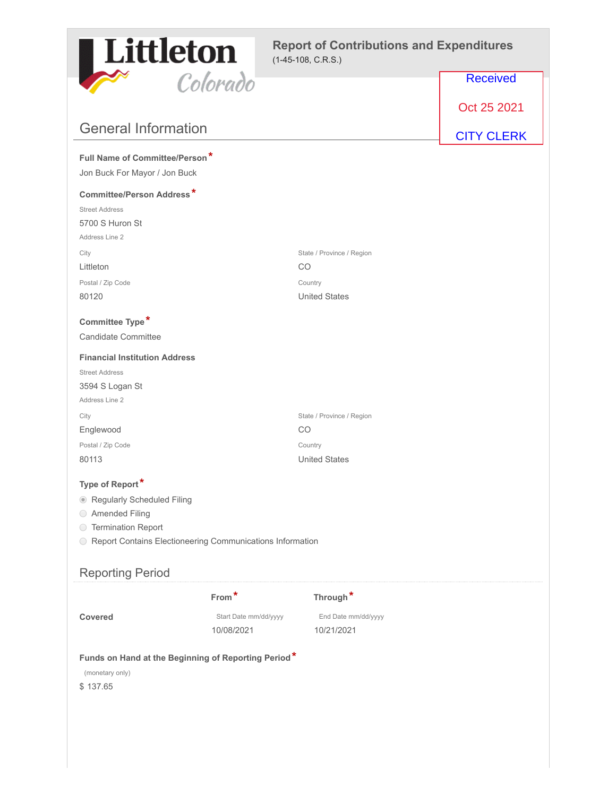

## **Report of Contributions and Expenditures** (1-45-108, C.R.S.)

|                                                                                    | Colorado                            |                                   | <b>Received</b>   |
|------------------------------------------------------------------------------------|-------------------------------------|-----------------------------------|-------------------|
|                                                                                    |                                     |                                   | Oct 25 2021       |
| <b>General Information</b>                                                         |                                     |                                   | <b>CITY CLERK</b> |
| Full Name of Committee/Person*                                                     |                                     |                                   |                   |
| Jon Buck For Mayor / Jon Buck                                                      |                                     |                                   |                   |
| <b>Committee/Person Address*</b>                                                   |                                     |                                   |                   |
| <b>Street Address</b>                                                              |                                     |                                   |                   |
| 5700 S Huron St                                                                    |                                     |                                   |                   |
| Address Line 2                                                                     |                                     |                                   |                   |
| City<br>Littleton                                                                  |                                     | State / Province / Region<br>CO   |                   |
| Postal / Zip Code                                                                  |                                     | Country                           |                   |
| 80120                                                                              |                                     | <b>United States</b>              |                   |
|                                                                                    |                                     |                                   |                   |
| Committee Type*                                                                    |                                     |                                   |                   |
| <b>Candidate Committee</b>                                                         |                                     |                                   |                   |
| <b>Financial Institution Address</b>                                               |                                     |                                   |                   |
| <b>Street Address</b>                                                              |                                     |                                   |                   |
| 3594 S Logan St                                                                    |                                     |                                   |                   |
| Address Line 2                                                                     |                                     |                                   |                   |
| City<br>Englewood                                                                  |                                     | State / Province / Region<br>CO   |                   |
| Postal / Zip Code                                                                  |                                     | Country                           |                   |
| 80113                                                                              |                                     | <b>United States</b>              |                   |
|                                                                                    |                                     |                                   |                   |
| Type of Report*                                                                    |                                     |                                   |                   |
| Regularly Scheduled Filing                                                         |                                     |                                   |                   |
| ◯ Amended Filing                                                                   |                                     |                                   |                   |
| <b>Termination Report</b><br>$\bigcirc$                                            |                                     |                                   |                   |
| Report Contains Electioneering Communications Information<br>$\bigcirc$            |                                     |                                   |                   |
| <b>Reporting Period</b>                                                            |                                     |                                   |                   |
|                                                                                    | From*                               | Through*                          |                   |
| <b>Covered</b>                                                                     | Start Date mm/dd/yyyy<br>10/08/2021 | End Date mm/dd/yyyy<br>10/21/2021 |                   |
| Funds on Hand at the Beginning of Reporting Period*<br>(monetary only)<br>\$137.65 |                                     |                                   |                   |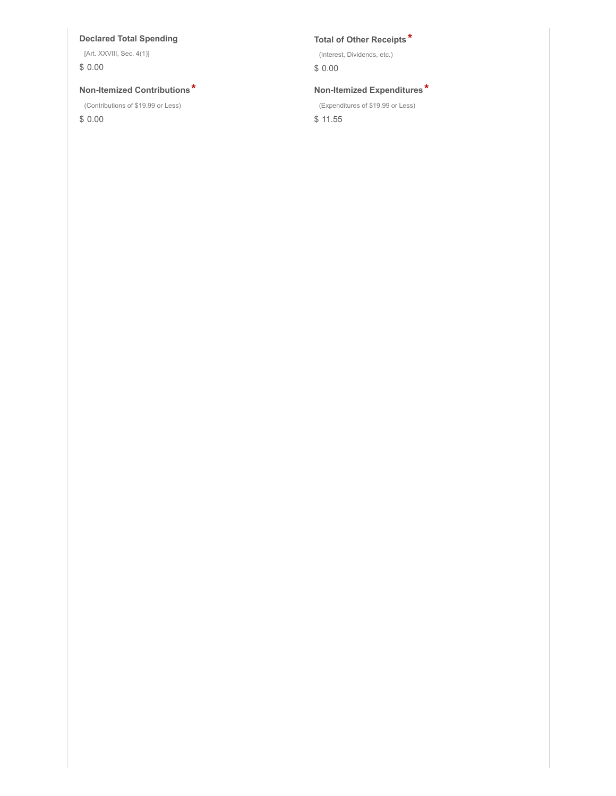### **Declared Total Spending Total of Other Receipts \***

[Art. XXVIII, Sec. 4(1)] \$ 0.00

### **Non-Itemized Contributions \* Non-Itemized Expenditures \***

(Contributions of \$19.99 or Less)

\$ 0.00

(Interest, Dividends, etc.)

\$ 0.00

(Expenditures of \$19.99 or Less)

\$ 11.55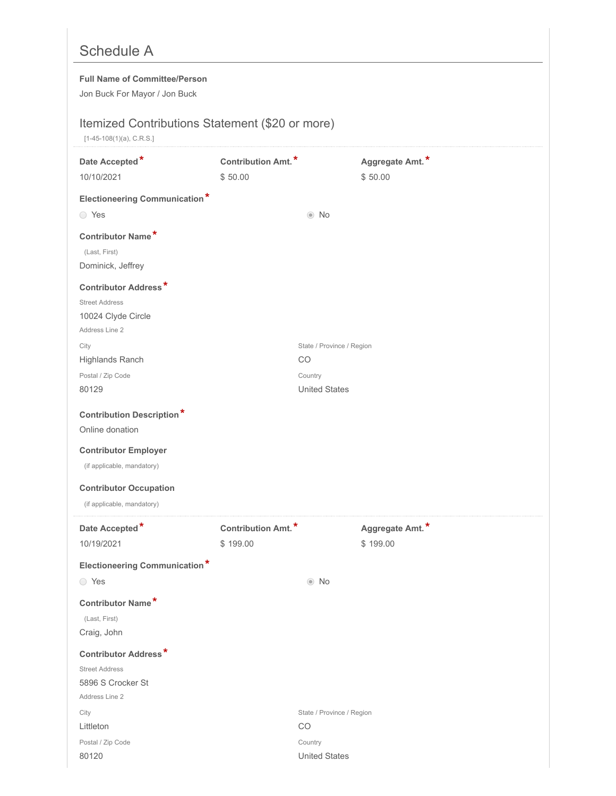# Schedule A

### **Full Name of Committee/Person**

Jon Buck For Mayor / Jon Buck

## Itemized Contributions Statement (\$20 or more)

[1-45-108(1)(a), C.R.S.]

| Date Accepted*<br>10/10/2021                                | Contribution Amt.*<br>\$50.00 |                                 | Aggregate Amt.*<br>\$50.00 |
|-------------------------------------------------------------|-------------------------------|---------------------------------|----------------------------|
| <b>Electioneering Communication*</b>                        |                               |                                 |                            |
| ◯ Yes                                                       |                               | $\odot$ No                      |                            |
|                                                             |                               |                                 |                            |
| Contributor Name*<br>(Last, First)                          |                               |                                 |                            |
| Dominick, Jeffrey                                           |                               |                                 |                            |
|                                                             |                               |                                 |                            |
| <b>Contributor Address*</b><br><b>Street Address</b>        |                               |                                 |                            |
| 10024 Clyde Circle                                          |                               |                                 |                            |
| Address Line 2                                              |                               |                                 |                            |
| City                                                        |                               | State / Province / Region       |                            |
| Highlands Ranch                                             |                               | CO                              |                            |
| Postal / Zip Code                                           |                               | Country                         |                            |
| 80129                                                       |                               | <b>United States</b>            |                            |
| <b>Contribution Description*</b>                            |                               |                                 |                            |
| Online donation                                             |                               |                                 |                            |
| <b>Contributor Employer</b>                                 |                               |                                 |                            |
| (if applicable, mandatory)                                  |                               |                                 |                            |
|                                                             |                               |                                 |                            |
| <b>Contributor Occupation</b><br>(if applicable, mandatory) |                               |                                 |                            |
|                                                             |                               |                                 |                            |
| Date Accepted*                                              | <b>Contribution Amt.*</b>     |                                 | Aggregate Amt.*            |
| 10/19/2021                                                  | \$199.00                      |                                 | \$199.00                   |
| <b>Electioneering Communication*</b>                        |                               |                                 |                            |
| ◯ Yes                                                       |                               | $\odot$ No                      |                            |
| Contributor Name*                                           |                               |                                 |                            |
| (Last, First)                                               |                               |                                 |                            |
| Craig, John                                                 |                               |                                 |                            |
| <b>Contributor Address*</b>                                 |                               |                                 |                            |
| <b>Street Address</b>                                       |                               |                                 |                            |
| 5896 S Crocker St                                           |                               |                                 |                            |
| Address Line 2                                              |                               |                                 |                            |
| City<br>Littleton                                           |                               | State / Province / Region<br>CO |                            |
| Postal / Zip Code                                           |                               | Country                         |                            |
| 80120                                                       |                               | <b>United States</b>            |                            |
|                                                             |                               |                                 |                            |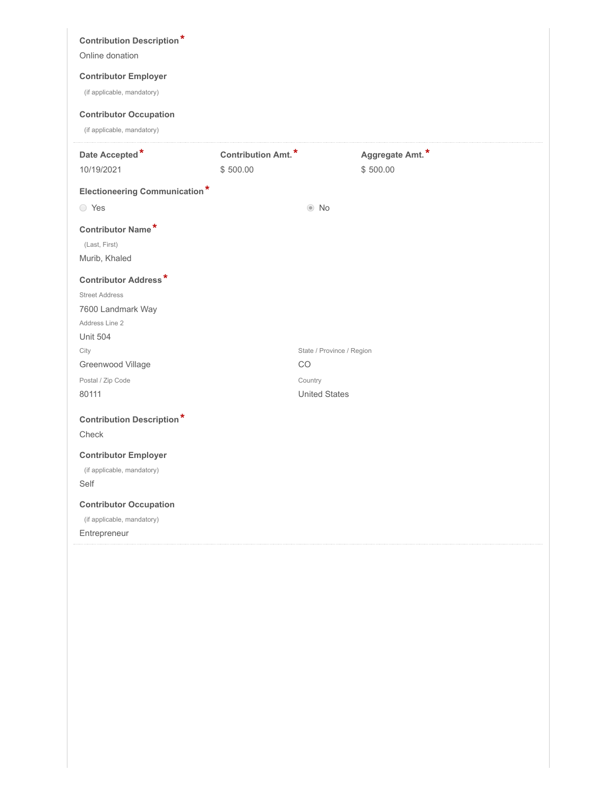| <b>Contribution Description*</b><br>Online donation<br><b>Contributor Employer</b><br>(if applicable, mandatory)<br><b>Contributor Occupation</b><br>(if applicable, mandatory) |                    |                           |                 |  |
|---------------------------------------------------------------------------------------------------------------------------------------------------------------------------------|--------------------|---------------------------|-----------------|--|
| Date Accepted*                                                                                                                                                                  | Contribution Amt.* |                           | Aggregate Amt.* |  |
| 10/19/2021                                                                                                                                                                      | \$500.00           |                           | \$500.00        |  |
| <b>Electioneering Communication*</b>                                                                                                                                            |                    |                           |                 |  |
| ◯ Yes                                                                                                                                                                           |                    | $\odot$ No                |                 |  |
| Contributor Name*                                                                                                                                                               |                    |                           |                 |  |
| (Last, First)                                                                                                                                                                   |                    |                           |                 |  |
| Murib, Khaled                                                                                                                                                                   |                    |                           |                 |  |
| <b>Contributor Address*</b>                                                                                                                                                     |                    |                           |                 |  |
| <b>Street Address</b>                                                                                                                                                           |                    |                           |                 |  |
| 7600 Landmark Way<br>Address Line 2                                                                                                                                             |                    |                           |                 |  |
| <b>Unit 504</b>                                                                                                                                                                 |                    |                           |                 |  |
| City                                                                                                                                                                            |                    | State / Province / Region |                 |  |
| Greenwood Village                                                                                                                                                               |                    | CO.                       |                 |  |
| Postal / Zip Code                                                                                                                                                               |                    | Country                   |                 |  |
| 80111                                                                                                                                                                           |                    | <b>United States</b>      |                 |  |
| <b>Contribution Description*</b>                                                                                                                                                |                    |                           |                 |  |
| Check                                                                                                                                                                           |                    |                           |                 |  |
| <b>Contributor Employer</b>                                                                                                                                                     |                    |                           |                 |  |
| (if applicable, mandatory)                                                                                                                                                      |                    |                           |                 |  |
| Self                                                                                                                                                                            |                    |                           |                 |  |
| <b>Contributor Occupation</b>                                                                                                                                                   |                    |                           |                 |  |
| (if applicable, mandatory)                                                                                                                                                      |                    |                           |                 |  |
| Entrepreneur                                                                                                                                                                    |                    |                           |                 |  |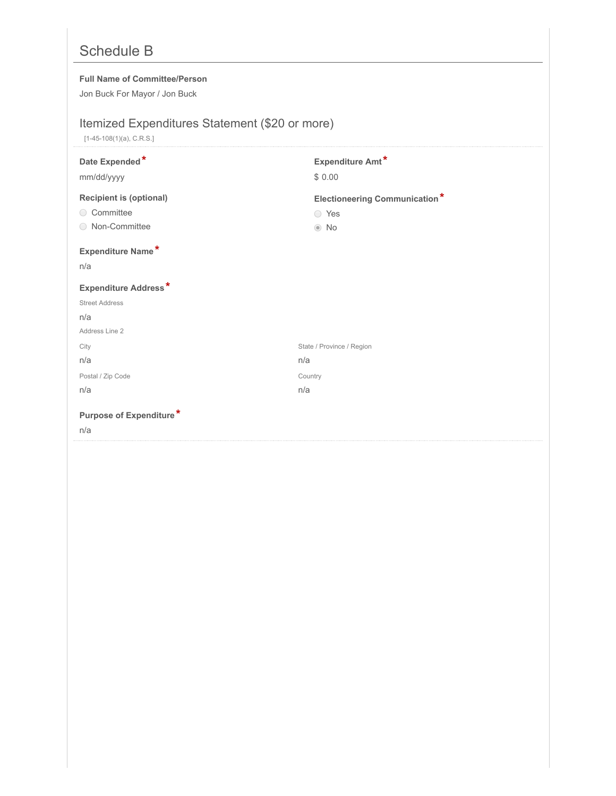# Schedule B

### **Full Name of Committee/Person**

Jon Buck For Mayor / Jon Buck

# Itemized Expenditures Statement (\$20 or more)

[1-45-108(1)(a), C.R.S.]

| Date Expended*<br>mm/dd/yyyy                                     | Expenditure Amt*<br>\$0.00                                  |
|------------------------------------------------------------------|-------------------------------------------------------------|
| <b>Recipient is (optional)</b><br>◯ Committee<br>◯ Non-Committee | <b>Electioneering Communication*</b><br>○ Yes<br>$\odot$ No |
| Expenditure Name*<br>n/a                                         |                                                             |
| <b>Expenditure Address*</b>                                      |                                                             |
| <b>Street Address</b>                                            |                                                             |
| n/a                                                              |                                                             |
| Address Line 2                                                   |                                                             |
| City                                                             | State / Province / Region                                   |
| n/a                                                              | n/a                                                         |
| Postal / Zip Code                                                | Country                                                     |
| n/a                                                              | n/a                                                         |
| Purpose of Expenditure*<br>n/a                                   |                                                             |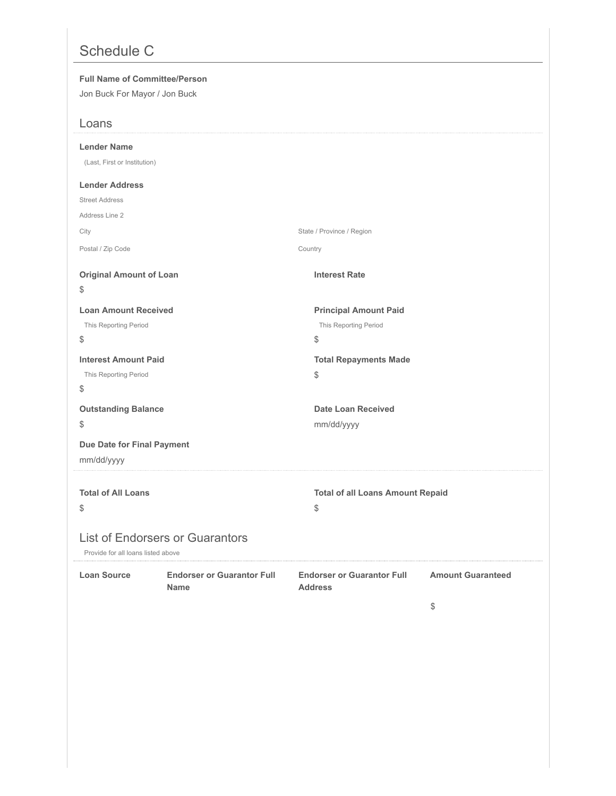# Schedule C

#### **Full Name of Committee/Person**

Jon Buck For Mayor / Jon Buck

| Loans                              |                                                  |                                                     |                          |
|------------------------------------|--------------------------------------------------|-----------------------------------------------------|--------------------------|
| <b>Lender Name</b>                 |                                                  |                                                     |                          |
| (Last, First or Institution)       |                                                  |                                                     |                          |
| <b>Lender Address</b>              |                                                  |                                                     |                          |
| <b>Street Address</b>              |                                                  |                                                     |                          |
| Address Line 2                     |                                                  |                                                     |                          |
| City                               |                                                  | State / Province / Region                           |                          |
| Postal / Zip Code                  |                                                  | Country                                             |                          |
| <b>Original Amount of Loan</b>     |                                                  | <b>Interest Rate</b>                                |                          |
| \$                                 |                                                  |                                                     |                          |
| <b>Loan Amount Received</b>        |                                                  | <b>Principal Amount Paid</b>                        |                          |
| This Reporting Period              |                                                  | This Reporting Period                               |                          |
| \$                                 |                                                  | \$                                                  |                          |
| <b>Interest Amount Paid</b>        |                                                  | <b>Total Repayments Made</b>                        |                          |
| This Reporting Period              |                                                  | $\$\,$                                              |                          |
| \$                                 |                                                  |                                                     |                          |
| <b>Outstanding Balance</b>         |                                                  | Date Loan Received                                  |                          |
| \$                                 |                                                  | mm/dd/yyyy                                          |                          |
| Due Date for Final Payment         |                                                  |                                                     |                          |
| mm/dd/yyyy                         |                                                  |                                                     |                          |
|                                    |                                                  |                                                     |                          |
| <b>Total of All Loans</b>          |                                                  | <b>Total of all Loans Amount Repaid</b>             |                          |
| \$                                 |                                                  | $\, \, \raisebox{12pt}{$\scriptstyle\circ$}$        |                          |
| Provide for all loans listed above | <b>List of Endorsers or Guarantors</b>           |                                                     |                          |
| <b>Loan Source</b>                 | <b>Endorser or Guarantor Full</b><br><b>Name</b> | <b>Endorser or Guarantor Full</b><br><b>Address</b> | <b>Amount Guaranteed</b> |
|                                    |                                                  |                                                     | \$                       |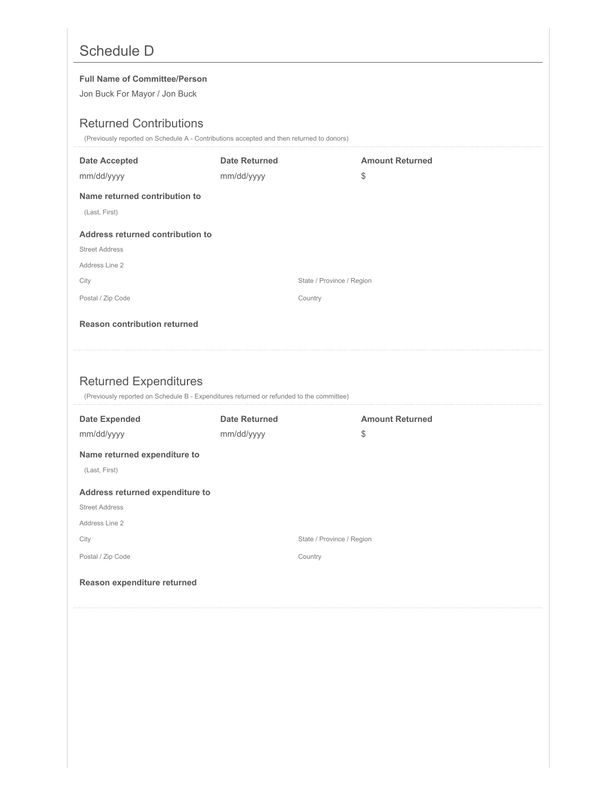# Schedule D

#### **Full Name of Committee/Person**

Jon Buck For Mayor / Jon Buck

## Returned Contributions

(Previously reported on Schedule A - Contributions accepted and then returned to donors)

| <b>Date Accepted</b>                | <b>Date Returned</b>                                                                     | <b>Amount Returned</b> |
|-------------------------------------|------------------------------------------------------------------------------------------|------------------------|
| mm/dd/yyyy                          | mm/dd/yyyy                                                                               | \$                     |
| Name returned contribution to       |                                                                                          |                        |
| (Last, First)                       |                                                                                          |                        |
| Address returned contribution to    |                                                                                          |                        |
| <b>Street Address</b>               |                                                                                          |                        |
| Address Line 2                      |                                                                                          |                        |
| City                                | State / Province / Region                                                                |                        |
| Postal / Zip Code                   | Country                                                                                  |                        |
| <b>Reason contribution returned</b> |                                                                                          |                        |
|                                     |                                                                                          |                        |
|                                     |                                                                                          |                        |
|                                     |                                                                                          |                        |
|                                     |                                                                                          |                        |
| <b>Returned Expenditures</b>        | (Previously reported on Schedule B - Expenditures returned or refunded to the committee) |                        |
| <b>Date Expended</b>                | <b>Date Returned</b>                                                                     | <b>Amount Returned</b> |
| mm/dd/yyyy                          | mm/dd/yyyy                                                                               | \$                     |
| Name returned expenditure to        |                                                                                          |                        |
| (Last, First)                       |                                                                                          |                        |
| Address returned expenditure to     |                                                                                          |                        |
| <b>Street Address</b>               |                                                                                          |                        |
| Address Line 2                      |                                                                                          |                        |
| City                                | State / Province / Region                                                                |                        |
| Postal / Zip Code                   | Country                                                                                  |                        |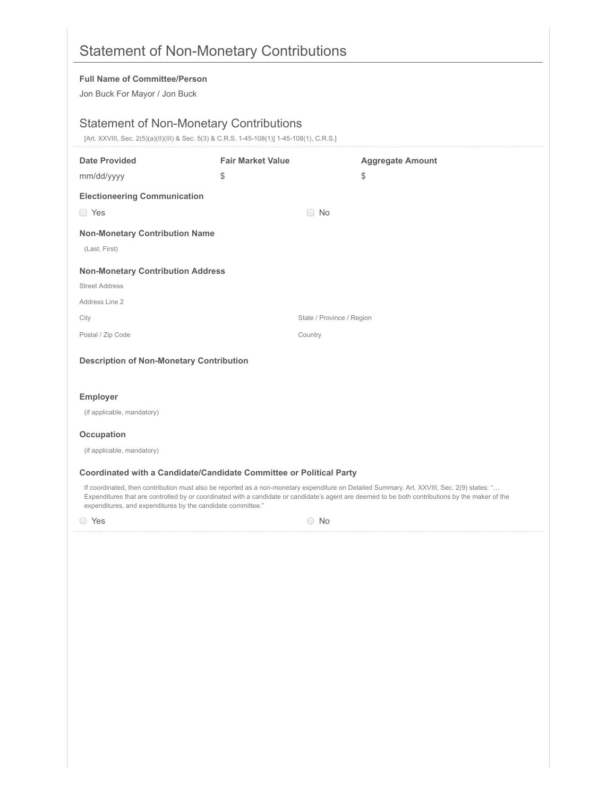|                                                                       | <b>Statement of Non-Monetary Contributions</b>                                                                                               |                                                                                                                                                                                                                                                                                                 |
|-----------------------------------------------------------------------|----------------------------------------------------------------------------------------------------------------------------------------------|-------------------------------------------------------------------------------------------------------------------------------------------------------------------------------------------------------------------------------------------------------------------------------------------------|
| <b>Full Name of Committee/Person</b><br>Jon Buck For Mayor / Jon Buck |                                                                                                                                              |                                                                                                                                                                                                                                                                                                 |
|                                                                       | <b>Statement of Non-Monetary Contributions</b><br>[Art. XXVIII, Sec. 2(5)(a)(II)(III) & Sec. 5(3) & C.R.S. 1-45-108(1)] 1-45-108(1), C.R.S.] |                                                                                                                                                                                                                                                                                                 |
| <b>Date Provided</b>                                                  | <b>Fair Market Value</b>                                                                                                                     | <b>Aggregate Amount</b>                                                                                                                                                                                                                                                                         |
| mm/dd/yyyy                                                            | \$                                                                                                                                           | \$                                                                                                                                                                                                                                                                                              |
| <b>Electioneering Communication</b>                                   |                                                                                                                                              |                                                                                                                                                                                                                                                                                                 |
| <b>T</b> Yes                                                          | $\Box$ No                                                                                                                                    |                                                                                                                                                                                                                                                                                                 |
| <b>Non-Monetary Contribution Name</b><br>(Last, First)                |                                                                                                                                              |                                                                                                                                                                                                                                                                                                 |
| <b>Non-Monetary Contribution Address</b>                              |                                                                                                                                              |                                                                                                                                                                                                                                                                                                 |
| <b>Street Address</b>                                                 |                                                                                                                                              |                                                                                                                                                                                                                                                                                                 |
| Address Line 2                                                        |                                                                                                                                              |                                                                                                                                                                                                                                                                                                 |
| City                                                                  |                                                                                                                                              | State / Province / Region                                                                                                                                                                                                                                                                       |
| Postal / Zip Code                                                     | Country                                                                                                                                      |                                                                                                                                                                                                                                                                                                 |
| <b>Description of Non-Monetary Contribution</b>                       |                                                                                                                                              |                                                                                                                                                                                                                                                                                                 |
| <b>Employer</b>                                                       |                                                                                                                                              |                                                                                                                                                                                                                                                                                                 |
| (if applicable, mandatory)                                            |                                                                                                                                              |                                                                                                                                                                                                                                                                                                 |
| Occupation                                                            |                                                                                                                                              |                                                                                                                                                                                                                                                                                                 |
| (if applicable, mandatory)                                            |                                                                                                                                              |                                                                                                                                                                                                                                                                                                 |
|                                                                       | Coordinated with a Candidate/Candidate Committee or Political Party                                                                          |                                                                                                                                                                                                                                                                                                 |
| expenditures, and expenditures by the candidate committee."           |                                                                                                                                              | If coordinated, then contribution must also be reported as a non-monetary expenditure on Detailed Summary. Art. XXVIII, Sec. 2(9) states: "<br>Expenditures that are controlled by or coordinated with a candidate or candidate's agent are deemed to be both contributions by the maker of the |
| ○ Yes                                                                 | $\circ$ No                                                                                                                                   |                                                                                                                                                                                                                                                                                                 |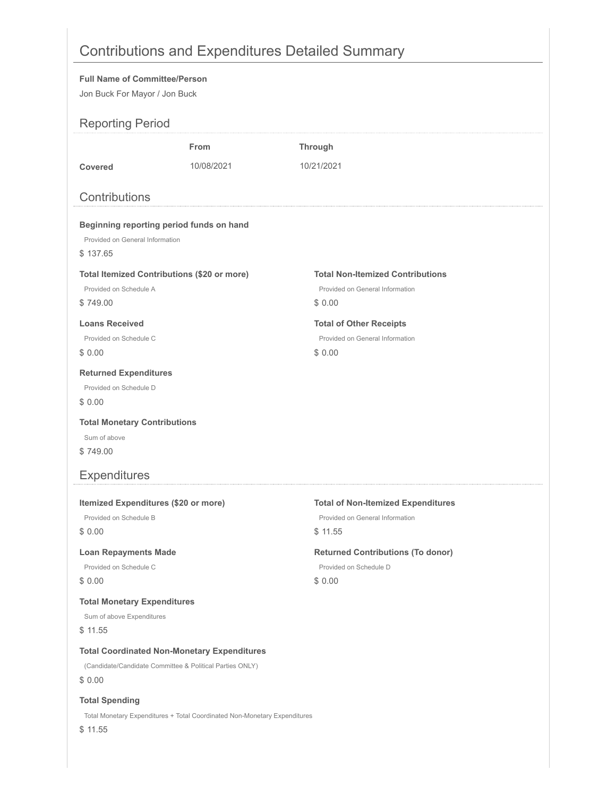# Contributions and Expenditures Detailed Summary

#### **Full Name of Committee/Person**

Jon Buck For Mayor / Jon Buck

| <b>Reporting Period</b>                                        |                                                                           |                                                                              |
|----------------------------------------------------------------|---------------------------------------------------------------------------|------------------------------------------------------------------------------|
|                                                                | <b>From</b>                                                               | <b>Through</b>                                                               |
| Covered                                                        | 10/08/2021                                                                | 10/21/2021                                                                   |
|                                                                |                                                                           |                                                                              |
| Contributions                                                  |                                                                           |                                                                              |
| Beginning reporting period funds on hand                       |                                                                           |                                                                              |
| Provided on General Information                                |                                                                           |                                                                              |
| \$137.65                                                       |                                                                           |                                                                              |
| <b>Total Itemized Contributions (\$20 or more)</b>             |                                                                           | <b>Total Non-Itemized Contributions</b>                                      |
| Provided on Schedule A                                         |                                                                           | Provided on General Information                                              |
| \$749.00                                                       |                                                                           | \$0.00                                                                       |
| <b>Loans Received</b>                                          |                                                                           | <b>Total of Other Receipts</b>                                               |
| Provided on Schedule C                                         |                                                                           | Provided on General Information                                              |
| \$0.00                                                         |                                                                           | \$0.00                                                                       |
| <b>Returned Expenditures</b>                                   |                                                                           |                                                                              |
| Provided on Schedule D                                         |                                                                           |                                                                              |
| \$0.00                                                         |                                                                           |                                                                              |
| <b>Total Monetary Contributions</b>                            |                                                                           |                                                                              |
| Sum of above                                                   |                                                                           |                                                                              |
| \$749.00                                                       |                                                                           |                                                                              |
| <b>Expenditures</b>                                            |                                                                           |                                                                              |
|                                                                |                                                                           |                                                                              |
| Itemized Expenditures (\$20 or more)<br>Provided on Schedule B |                                                                           | <b>Total of Non-Itemized Expenditures</b><br>Provided on General Information |
| \$0.00                                                         |                                                                           | \$11.55                                                                      |
|                                                                |                                                                           |                                                                              |
| <b>Loan Repayments Made</b>                                    |                                                                           | <b>Returned Contributions (To donor)</b>                                     |
| Provided on Schedule C                                         |                                                                           | Provided on Schedule D                                                       |
| \$0.00                                                         |                                                                           | \$0.00                                                                       |
| <b>Total Monetary Expenditures</b>                             |                                                                           |                                                                              |
| Sum of above Expenditures                                      |                                                                           |                                                                              |
| \$11.55                                                        |                                                                           |                                                                              |
| <b>Total Coordinated Non-Monetary Expenditures</b>             |                                                                           |                                                                              |
| (Candidate/Candidate Committee & Political Parties ONLY)       |                                                                           |                                                                              |
| \$0.00                                                         |                                                                           |                                                                              |
| <b>Total Spending</b>                                          |                                                                           |                                                                              |
|                                                                | Total Monetary Expenditures + Total Coordinated Non-Monetary Expenditures |                                                                              |
| \$11.55                                                        |                                                                           |                                                                              |